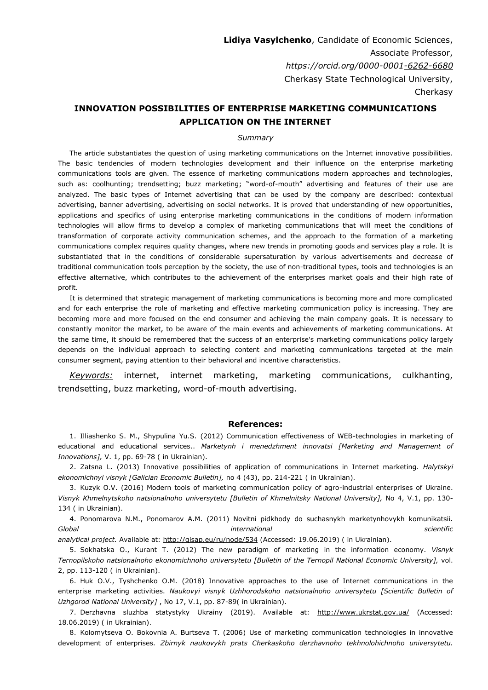**Lidiya Vasylchenko**, Candidate of Economic Sciences, Associate Professor, *https://orcid.org/0000-000[1-6262-6680](http://orcid.org/0000-0001-6262-6680)* Cherkasy State Technological University, Cherkasy

## **INNOVATION POSSIBILITIES OF ENTERPRISE MARKETING COMMUNICATIONS APPLICATION ON THE INTERNET**

## *Summary*

The article substantiates the question of using marketing communications on the Internet innovative possibilities. The basic tendencies of modern technologies development and their influence on the enterprise marketing communications tools are given. The essence of marketing communications modern approaches and technologies, such as: coolhunting; trendsetting; buzz marketing; "word-of-mouth" advertising and features of their use are analyzed. The basic types of Internet advertising that can be used by the company are described: contextual advertising, banner advertising, advertising on social networks. It is proved that understanding of new opportunities, applications and specifics of using enterprise marketing communications in the conditions of modern information technologies will allow firms to develop a complex of marketing communications that will meet the conditions of transformation of corporate activity communication schemes, and the approach to the formation of a marketing communications complex requires quality changes, where new trends in promoting goods and services play a role. It is substantiated that in the conditions of considerable supersaturation by various advertisements and decrease of traditional communication tools perception by the society, the use of non-traditional types, tools and technologies is an effective alternative, which contributes to the achievement of the enterprises market goals and their high rate of profit.

It is determined that strategic management of marketing communications is becoming more and more complicated and for each enterprise the role of marketing and effective marketing communication policy is increasing. They are becoming more and more focused on the end consumer and achieving the main company goals. It is necessary to constantly monitor the market, to be aware of the main events and achievements of marketing communications. At the same time, it should be remembered that the success of an enterprise's marketing communications policy largely depends on the individual approach to selecting content and marketing communications targeted at the main consumer segment, paying attention to their behavioral and incentive characteristics.

*Keywords:* internet, internet marketing, marketing communications, culkhanting, trendsetting, buzz marketing, word-of-mouth advertising.

## **References:**

1. Illiashenko S. M., Shypulina Yu.S. (2012) Communication effectiveness of WEB-technologies in marketing of educational and educational services.. *Marketynh i menedzhment innovatsi [Marketing and Management of Innovations],* V. 1, pp. 69-78 ( in Ukrainian).

2. Zatsna L. (2013) Innovative possibilities of application of communications in Internet marketing. *Halytskyi ekonomichnyi visnyk [Galician Economic Bulletin],* no 4 (43), pp. 214-221 ( in Ukrainian).

3. Kuzyk O.V. (2016) Modern tools of marketing communication policy of agro-industrial enterprises of Ukraine. *Visnyk Khmelnytskoho natsionalnoho universytetu [Bulletin of Khmelnitsky National University],* No 4, V.1, pp. 130- 134 ( in Ukrainian).

4. Ponomarova N.M., Ponomarov A.M. (2011) Novitni pidkhody do suchasnykh marketynhovykh komunikatsii. *Global international scientific*

*analytical project.* Аvailable at: <http://gisap.eu/ru/node/534> (Accessed: 19.06.2019) ( in Ukrainian).

5. Sokhatska O., Kurant T. (2012) The new paradigm of marketing in the information economy. *Visnyk Ternopilskoho natsionalnoho ekonomichnoho universytetu [Bulletin of the Ternopil National Economic University],* vol. 2, pp. 113-120 ( in Ukrainian).

6. Huk O.V., Tyshchenko O.M. (2018) Innovative approaches to the use of Internet communications in the enterprise marketing activities. *Naukovyi visnyk Uzhhorodskoho natsionalnoho universytetu [Scientific Bulletin of Uzhgorod National University]* , No 17, V.1, pp. 87-89( in Ukrainian).

7. Derzhavna sluzhba statystyky Ukrainy (2019). Available at: <http://www.ukrstat.gov.ua/> (Accessed: 18.06.2019) ( in Ukrainian).

8. Kolomytseva O. Bokovnia A. Burtseva T. (2006) Use of marketing communication technologies in innovative development of enterprises. *Zbirnyk naukovykh prats Cherkaskoho derzhavnoho tekhnolohichnoho universytetu.*